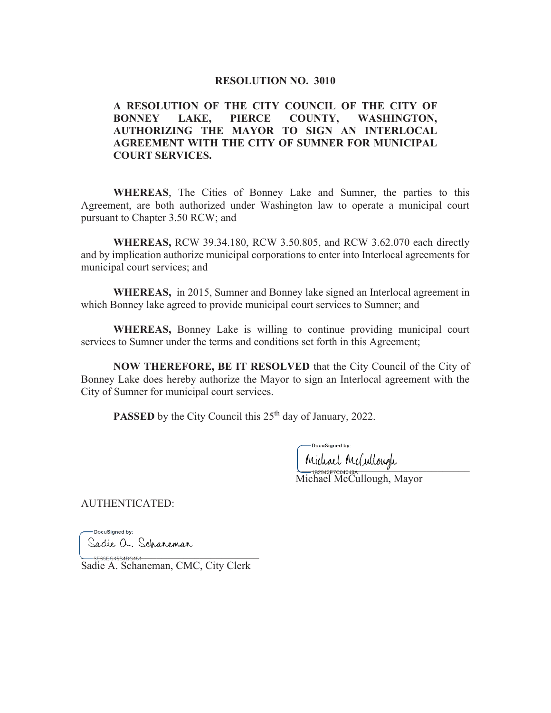### **RESOLUTION NO. 3010**

## **A RESOLUTION OF THE CITY COUNCIL OF THE CITY OF BONNEY LAKE, PIERCE COUNTY, WASHINGTON, AUTHORIZING THE MAYOR TO SIGN AN INTERLOCAL AGREEMENT WITH THE CITY OF SUMNER FOR MUNICIPAL COURT SERVICES.**

**WHEREAS**, The Cities of Bonney Lake and Sumner, the parties to this Agreement, are both authorized under Washington law to operate a municipal court pursuant to Chapter 3.50 RCW; and

**WHEREAS,** RCW 39.34.180, RCW 3.50.805, and RCW 3.62.070 each directly and by implication authorize municipal corporations to enter into Interlocal agreements for municipal court services; and

**WHEREAS,** in 2015, Sumner and Bonney lake signed an Interlocal agreement in which Bonney lake agreed to provide municipal court services to Sumner; and

**WHEREAS,** Bonney Lake is willing to continue providing municipal court services to Sumner under the terms and conditions set forth in this Agreement;

**NOW THEREFORE, BE IT RESOLVED** that the City Council of the City of Bonney Lake does hereby authorize the Mayor to sign an Interlocal agreement with the City of Sumner for municipal court services.

**PASSED** by the City Council this 25<sup>th</sup> day of January, 2022.

DocuSianed by:

ministration Michael McCullough, Mayor

AUTHENTICATED:

DocuSianed by: Sadie O. Scharemar<br>--3E600646B4B6461

Sadie A. Schaneman, CMC, City Clerk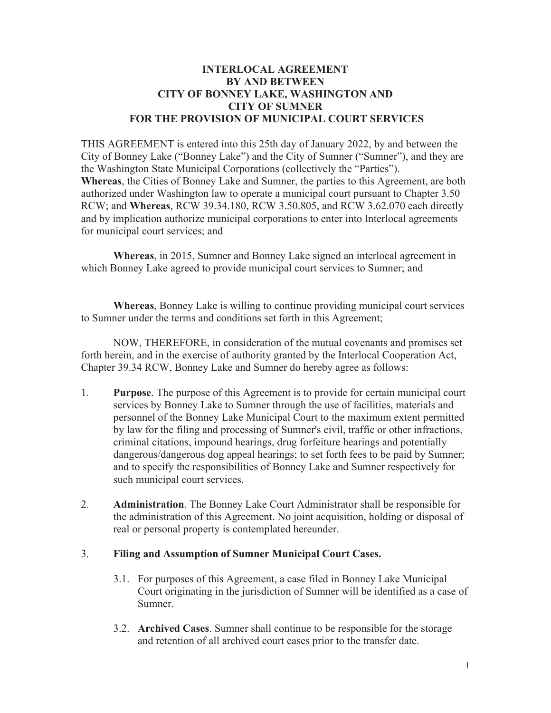## **INTERLOCAL AGREEMENT BY AND BETWEEN CITY OF BONNEY LAKE, WASHINGTON AND CITY OF SUMNER FOR THE PROVISION OF MUNICIPAL COURT SERVICES**

THIS AGREEMENT is entered into this 25th day of January 2022, by and between the City of Bonney Lake ("Bonney Lake") and the City of Sumner ("Sumner"), and they are the Washington State Municipal Corporations (collectively the "Parties"). **Whereas**, the Cities of Bonney Lake and Sumner, the parties to this Agreement, are both authorized under Washington law to operate a municipal court pursuant to Chapter 3.50 RCW; and **Whereas**, RCW 39.34.180, RCW 3.50.805, and RCW 3.62.070 each directly and by implication authorize municipal corporations to enter into Interlocal agreements for municipal court services; and

**Whereas**, in 2015, Sumner and Bonney Lake signed an interlocal agreement in which Bonney Lake agreed to provide municipal court services to Sumner; and

**Whereas**, Bonney Lake is willing to continue providing municipal court services to Sumner under the terms and conditions set forth in this Agreement;

 NOW, THEREFORE, in consideration of the mutual covenants and promises set forth herein, and in the exercise of authority granted by the Interlocal Cooperation Act, Chapter 39.34 RCW, Bonney Lake and Sumner do hereby agree as follows:

- 1. **Purpose**. The purpose of this Agreement is to provide for certain municipal court services by Bonney Lake to Sumner through the use of facilities, materials and personnel of the Bonney Lake Municipal Court to the maximum extent permitted by law for the filing and processing of Sumner's civil, traffic or other infractions, criminal citations, impound hearings, drug forfeiture hearings and potentially dangerous/dangerous dog appeal hearings; to set forth fees to be paid by Sumner; and to specify the responsibilities of Bonney Lake and Sumner respectively for such municipal court services.
- 2. **Administration**. The Bonney Lake Court Administrator shall be responsible for the administration of this Agreement. No joint acquisition, holding or disposal of real or personal property is contemplated hereunder.

## 3. **Filing and Assumption of Sumner Municipal Court Cases.**

- 3.1. For purposes of this Agreement, a case filed in Bonney Lake Municipal Court originating in the jurisdiction of Sumner will be identified as a case of Sumner.
- 3.2. **Archived Cases**. Sumner shall continue to be responsible for the storage and retention of all archived court cases prior to the transfer date.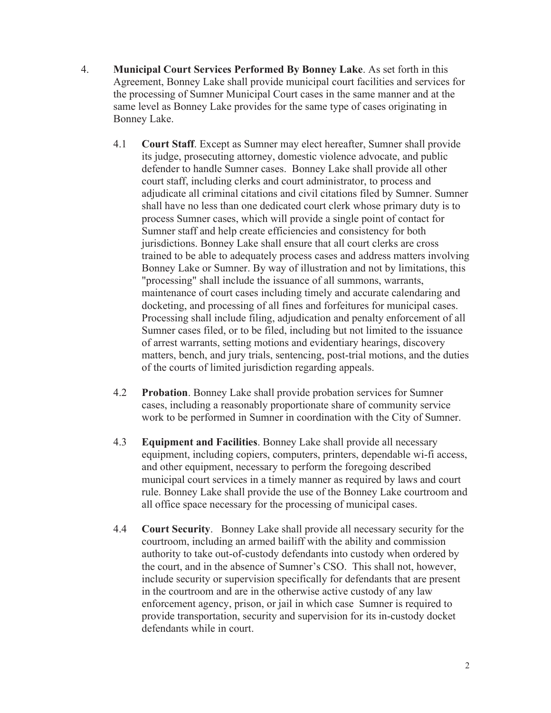- 4. **Municipal Court Services Performed By Bonney Lake**. As set forth in this Agreement, Bonney Lake shall provide municipal court facilities and services for the processing of Sumner Municipal Court cases in the same manner and at the same level as Bonney Lake provides for the same type of cases originating in Bonney Lake.
	- 4.1 **Court Staff**. Except as Sumner may elect hereafter, Sumner shall provide its judge, prosecuting attorney, domestic violence advocate, and public defender to handle Sumner cases. Bonney Lake shall provide all other court staff, including clerks and court administrator, to process and adjudicate all criminal citations and civil citations filed by Sumner. Sumner shall have no less than one dedicated court clerk whose primary duty is to process Sumner cases, which will provide a single point of contact for Sumner staff and help create efficiencies and consistency for both jurisdictions. Bonney Lake shall ensure that all court clerks are cross trained to be able to adequately process cases and address matters involving Bonney Lake or Sumner. By way of illustration and not by limitations, this "processing" shall include the issuance of all summons, warrants, maintenance of court cases including timely and accurate calendaring and docketing, and processing of all fines and forfeitures for municipal cases. Processing shall include filing, adjudication and penalty enforcement of all Sumner cases filed, or to be filed, including but not limited to the issuance of arrest warrants, setting motions and evidentiary hearings, discovery matters, bench, and jury trials, sentencing, post-trial motions, and the duties of the courts of limited jurisdiction regarding appeals.
	- 4.2 **Probation**. Bonney Lake shall provide probation services for Sumner cases, including a reasonably proportionate share of community service work to be performed in Sumner in coordination with the City of Sumner.
	- 4.3 **Equipment and Facilities**. Bonney Lake shall provide all necessary equipment, including copiers, computers, printers, dependable wi-fi access, and other equipment, necessary to perform the foregoing described municipal court services in a timely manner as required by laws and court rule. Bonney Lake shall provide the use of the Bonney Lake courtroom and all office space necessary for the processing of municipal cases.
	- 4.4 **Court Security**. Bonney Lake shall provide all necessary security for the courtroom, including an armed bailiff with the ability and commission authority to take out-of-custody defendants into custody when ordered by the court, and in the absence of Sumner's CSO. This shall not, however, include security or supervision specifically for defendants that are present in the courtroom and are in the otherwise active custody of any law enforcement agency, prison, or jail in which case Sumner is required to provide transportation, security and supervision for its in-custody docket defendants while in court.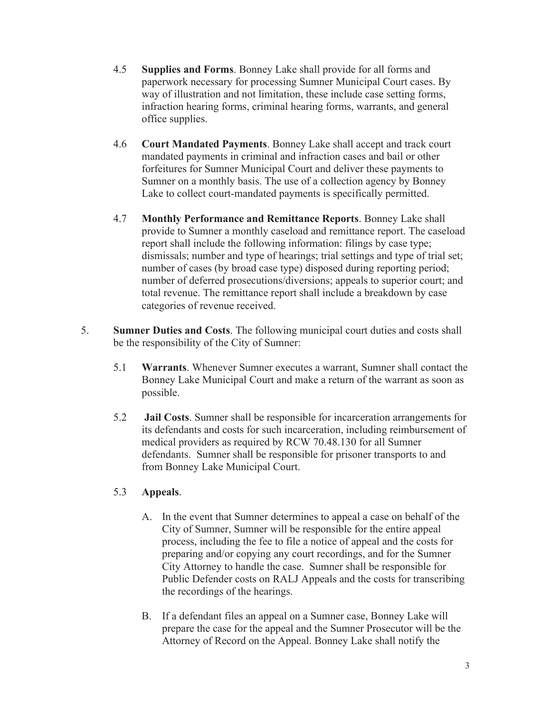- 4.5 **Supplies and Forms**. Bonney Lake shall provide for all forms and paperwork necessary for processing Sumner Municipal Court cases. By way of illustration and not limitation, these include case setting forms, infraction hearing forms, criminal hearing forms, warrants, and general office supplies.
- 4.6 **Court Mandated Payments**. Bonney Lake shall accept and track court mandated payments in criminal and infraction cases and bail or other forfeitures for Sumner Municipal Court and deliver these payments to Sumner on a monthly basis. The use of a collection agency by Bonney Lake to collect court-mandated payments is specifically permitted.
- 4.7 **Monthly Performance and Remittance Reports**. Bonney Lake shall provide to Sumner a monthly caseload and remittance report. The caseload report shall include the following information: filings by case type; dismissals; number and type of hearings; trial settings and type of trial set; number of cases (by broad case type) disposed during reporting period; number of deferred prosecutions/diversions; appeals to superior court; and total revenue. The remittance report shall include a breakdown by case categories of revenue received.
- 5. **Sumner Duties and Costs**. The following municipal court duties and costs shall be the responsibility of the City of Sumner:
	- 5.1 **Warrants**. Whenever Sumner executes a warrant, Sumner shall contact the Bonney Lake Municipal Court and make a return of the warrant as soon as possible.
	- 5.2 **Jail Costs**. Sumner shall be responsible for incarceration arrangements for its defendants and costs for such incarceration, including reimbursement of medical providers as required by RCW 70.48.130 for all Sumner defendants. Sumner shall be responsible for prisoner transports to and from Bonney Lake Municipal Court.

## 5.3 **Appeals**.

- A. In the event that Sumner determines to appeal a case on behalf of the City of Sumner, Sumner will be responsible for the entire appeal process, including the fee to file a notice of appeal and the costs for preparing and/or copying any court recordings, and for the Sumner City Attorney to handle the case. Sumner shall be responsible for Public Defender costs on RALJ Appeals and the costs for transcribing the recordings of the hearings.
- B. If a defendant files an appeal on a Sumner case, Bonney Lake will prepare the case for the appeal and the Sumner Prosecutor will be the Attorney of Record on the Appeal. Bonney Lake shall notify the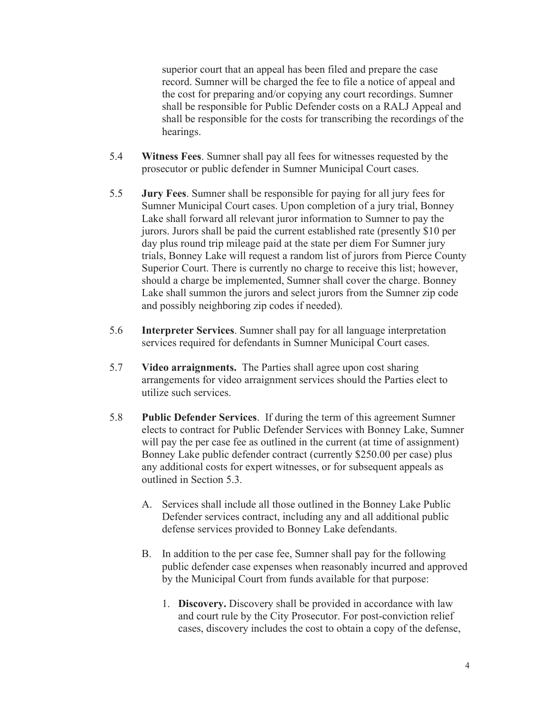superior court that an appeal has been filed and prepare the case record. Sumner will be charged the fee to file a notice of appeal and the cost for preparing and/or copying any court recordings. Sumner shall be responsible for Public Defender costs on a RALJ Appeal and shall be responsible for the costs for transcribing the recordings of the hearings.

- 5.4 **Witness Fees**. Sumner shall pay all fees for witnesses requested by the prosecutor or public defender in Sumner Municipal Court cases.
- 5.5 **Jury Fees**. Sumner shall be responsible for paying for all jury fees for Sumner Municipal Court cases. Upon completion of a jury trial, Bonney Lake shall forward all relevant juror information to Sumner to pay the jurors. Jurors shall be paid the current established rate (presently \$10 per day plus round trip mileage paid at the state per diem For Sumner jury trials, Bonney Lake will request a random list of jurors from Pierce County Superior Court. There is currently no charge to receive this list; however, should a charge be implemented, Sumner shall cover the charge. Bonney Lake shall summon the jurors and select jurors from the Sumner zip code and possibly neighboring zip codes if needed).
- 5.6 **Interpreter Services**. Sumner shall pay for all language interpretation services required for defendants in Sumner Municipal Court cases.
- 5.7 **Video arraignments.** The Parties shall agree upon cost sharing arrangements for video arraignment services should the Parties elect to utilize such services.
- 5.8 **Public Defender Services**. If during the term of this agreement Sumner elects to contract for Public Defender Services with Bonney Lake, Sumner will pay the per case fee as outlined in the current (at time of assignment) Bonney Lake public defender contract (currently \$250.00 per case) plus any additional costs for expert witnesses, or for subsequent appeals as outlined in Section 5.3.
	- A. Services shall include all those outlined in the Bonney Lake Public Defender services contract, including any and all additional public defense services provided to Bonney Lake defendants.
	- B. In addition to the per case fee, Sumner shall pay for the following public defender case expenses when reasonably incurred and approved by the Municipal Court from funds available for that purpose:
		- 1. **Discovery.** Discovery shall be provided in accordance with law and court rule by the City Prosecutor. For post-conviction relief cases, discovery includes the cost to obtain a copy of the defense,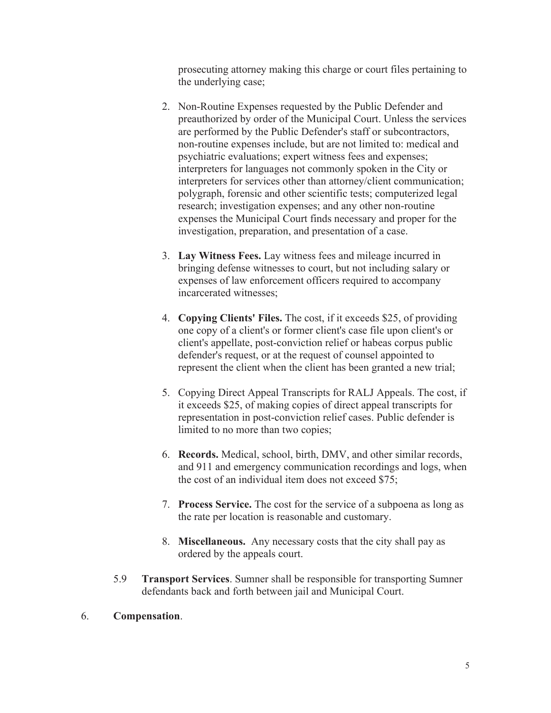prosecuting attorney making this charge or court files pertaining to the underlying case;

- 2. Non-Routine Expenses requested by the Public Defender and preauthorized by order of the Municipal Court. Unless the services are performed by the Public Defender's staff or subcontractors, non-routine expenses include, but are not limited to: medical and psychiatric evaluations; expert witness fees and expenses; interpreters for languages not commonly spoken in the City or interpreters for services other than attorney/client communication; polygraph, forensic and other scientific tests; computerized legal research; investigation expenses; and any other non-routine expenses the Municipal Court finds necessary and proper for the investigation, preparation, and presentation of a case.
- 3. **Lay Witness Fees.** Lay witness fees and mileage incurred in bringing defense witnesses to court, but not including salary or expenses of law enforcement officers required to accompany incarcerated witnesses;
- 4. **Copying Clients' Files.** The cost, if it exceeds \$25, of providing one copy of a client's or former client's case file upon client's or client's appellate, post-conviction relief or habeas corpus public defender's request, or at the request of counsel appointed to represent the client when the client has been granted a new trial;
- 5. Copying Direct Appeal Transcripts for RALJ Appeals. The cost, if it exceeds \$25, of making copies of direct appeal transcripts for representation in post-conviction relief cases. Public defender is limited to no more than two copies;
- 6. **Records.** Medical, school, birth, DMV, and other similar records, and 911 and emergency communication recordings and logs, when the cost of an individual item does not exceed \$75;
- 7. **Process Service.** The cost for the service of a subpoena as long as the rate per location is reasonable and customary.
- 8. **Miscellaneous.** Any necessary costs that the city shall pay as ordered by the appeals court.
- 5.9 **Transport Services**. Sumner shall be responsible for transporting Sumner defendants back and forth between jail and Municipal Court.
- 6. **Compensation**.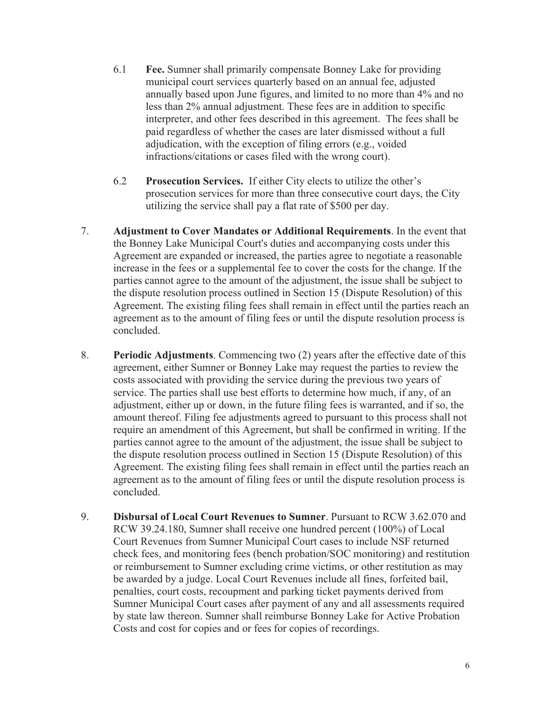- 6.1 **Fee.** Sumner shall primarily compensate Bonney Lake for providing municipal court services quarterly based on an annual fee, adjusted annually based upon June figures, and limited to no more than 4% and no less than 2% annual adjustment. These fees are in addition to specific interpreter, and other fees described in this agreement. The fees shall be paid regardless of whether the cases are later dismissed without a full adjudication, with the exception of filing errors (e.g., voided infractions/citations or cases filed with the wrong court).
- 6.2 **Prosecution Services.** If either City elects to utilize the other's prosecution services for more than three consecutive court days, the City utilizing the service shall pay a flat rate of \$500 per day.
- 7. **Adjustment to Cover Mandates or Additional Requirements**. In the event that the Bonney Lake Municipal Court's duties and accompanying costs under this Agreement are expanded or increased, the parties agree to negotiate a reasonable increase in the fees or a supplemental fee to cover the costs for the change. If the parties cannot agree to the amount of the adjustment, the issue shall be subject to the dispute resolution process outlined in Section 15 (Dispute Resolution) of this Agreement. The existing filing fees shall remain in effect until the parties reach an agreement as to the amount of filing fees or until the dispute resolution process is concluded.
- 8. **Periodic Adjustments**. Commencing two (2) years after the effective date of this agreement, either Sumner or Bonney Lake may request the parties to review the costs associated with providing the service during the previous two years of service. The parties shall use best efforts to determine how much, if any, of an adjustment, either up or down, in the future filing fees is warranted, and if so, the amount thereof. Filing fee adjustments agreed to pursuant to this process shall not require an amendment of this Agreement, but shall be confirmed in writing. If the parties cannot agree to the amount of the adjustment, the issue shall be subject to the dispute resolution process outlined in Section 15 (Dispute Resolution) of this Agreement. The existing filing fees shall remain in effect until the parties reach an agreement as to the amount of filing fees or until the dispute resolution process is concluded.
- 9. **Disbursal of Local Court Revenues to Sumner**. Pursuant to RCW 3.62.070 and RCW 39.24.180, Sumner shall receive one hundred percent (100%) of Local Court Revenues from Sumner Municipal Court cases to include NSF returned check fees, and monitoring fees (bench probation/SOC monitoring) and restitution or reimbursement to Sumner excluding crime victims, or other restitution as may be awarded by a judge. Local Court Revenues include all fines, forfeited bail, penalties, court costs, recoupment and parking ticket payments derived from Sumner Municipal Court cases after payment of any and all assessments required by state law thereon. Sumner shall reimburse Bonney Lake for Active Probation Costs and cost for copies and or fees for copies of recordings.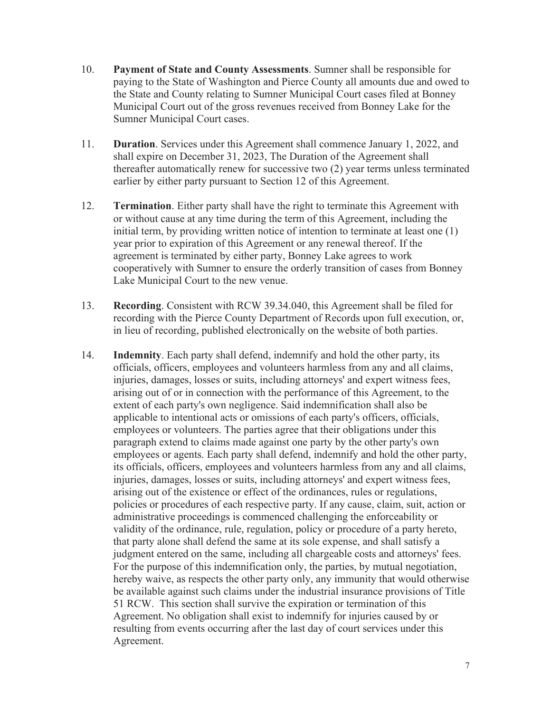- 10. **Payment of State and County Assessments**. Sumner shall be responsible for paying to the State of Washington and Pierce County all amounts due and owed to the State and County relating to Sumner Municipal Court cases filed at Bonney Municipal Court out of the gross revenues received from Bonney Lake for the Sumner Municipal Court cases.
- 11. **Duration**. Services under this Agreement shall commence January 1, 2022, and shall expire on December 31, 2023, The Duration of the Agreement shall thereafter automatically renew for successive two (2) year terms unless terminated earlier by either party pursuant to Section 12 of this Agreement.
- 12. **Termination**. Either party shall have the right to terminate this Agreement with or without cause at any time during the term of this Agreement, including the initial term, by providing written notice of intention to terminate at least one (1) year prior to expiration of this Agreement or any renewal thereof. If the agreement is terminated by either party, Bonney Lake agrees to work cooperatively with Sumner to ensure the orderly transition of cases from Bonney Lake Municipal Court to the new venue.
- 13. **Recording**. Consistent with RCW 39.34.040, this Agreement shall be filed for recording with the Pierce County Department of Records upon full execution, or, in lieu of recording, published electronically on the website of both parties.
- 14. **Indemnity**. Each party shall defend, indemnify and hold the other party, its officials, officers, employees and volunteers harmless from any and all claims, injuries, damages, losses or suits, including attorneys' and expert witness fees, arising out of or in connection with the performance of this Agreement, to the extent of each party's own negligence. Said indemnification shall also be applicable to intentional acts or omissions of each party's officers, officials, employees or volunteers. The parties agree that their obligations under this paragraph extend to claims made against one party by the other party's own employees or agents. Each party shall defend, indemnify and hold the other party, its officials, officers, employees and volunteers harmless from any and all claims, injuries, damages, losses or suits, including attorneys' and expert witness fees, arising out of the existence or effect of the ordinances, rules or regulations, policies or procedures of each respective party. If any cause, claim, suit, action or administrative proceedings is commenced challenging the enforceability or validity of the ordinance, rule, regulation, policy or procedure of a party hereto, that party alone shall defend the same at its sole expense, and shall satisfy a judgment entered on the same, including all chargeable costs and attorneys' fees. For the purpose of this indemnification only, the parties, by mutual negotiation, hereby waive, as respects the other party only, any immunity that would otherwise be available against such claims under the industrial insurance provisions of Title 51 RCW. This section shall survive the expiration or termination of this Agreement. No obligation shall exist to indemnify for injuries caused by or resulting from events occurring after the last day of court services under this Agreement.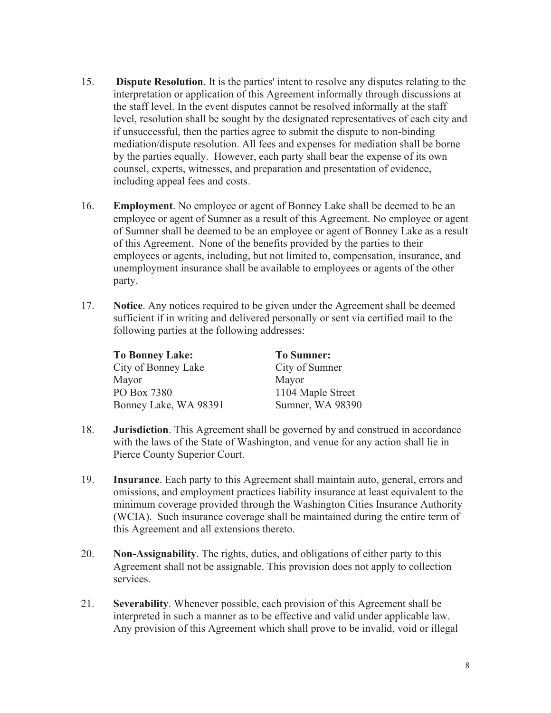- 15. **Dispute Resolution**. It is the parties' intent to resolve any disputes relating to the interpretation or application of this Agreement informally through discussions at the staff level. In the event disputes cannot be resolved informally at the staff level, resolution shall be sought by the designated representatives of each city and if unsuccessful, then the parties agree to submit the dispute to non-binding mediation/dispute resolution. All fees and expenses for mediation shall be borne by the parties equally. However, each party shall bear the expense of its own counsel, experts, witnesses, and preparation and presentation of evidence, including appeal fees and costs.
- 16. **Employment**. No employee or agent of Bonney Lake shall be deemed to be an employee or agent of Sumner as a result of this Agreement. No employee or agent of Sumner shall be deemed to be an employee or agent of Bonney Lake as a result of this Agreement. None of the benefits provided by the parties to their employees or agents, including, but not limited to, compensation, insurance, and unemployment insurance shall be available to employees or agents of the other party.
- 17. **Notice**. Any notices required to be given under the Agreement shall be deemed sufficient if in writing and delivered personally or sent via certified mail to the following parties at the following addresses:

| <b>To Bonney Lake:</b> | <b>To Sumner:</b> |
|------------------------|-------------------|
| City of Bonney Lake    | City of Sumner    |
| Mayor                  | Mayor             |
| PO Box 7380            | 1104 Maple Street |
| Bonney Lake, WA 98391  | Sumner, WA 98390  |

- 18. **Jurisdiction**. This Agreement shall be governed by and construed in accordance with the laws of the State of Washington, and venue for any action shall lie in Pierce County Superior Court.
- 19. **Insurance**. Each party to this Agreement shall maintain auto, general, errors and omissions, and employment practices liability insurance at least equivalent to the minimum coverage provided through the Washington Cities Insurance Authority (WCIA). Such insurance coverage shall be maintained during the entire term of this Agreement and all extensions thereto.
- 20. **Non-Assignability**. The rights, duties, and obligations of either party to this Agreement shall not be assignable. This provision does not apply to collection services.
- 21. **Severability**. Whenever possible, each provision of this Agreement shall be interpreted in such a manner as to be effective and valid under applicable law. Any provision of this Agreement which shall prove to be invalid, void or illegal